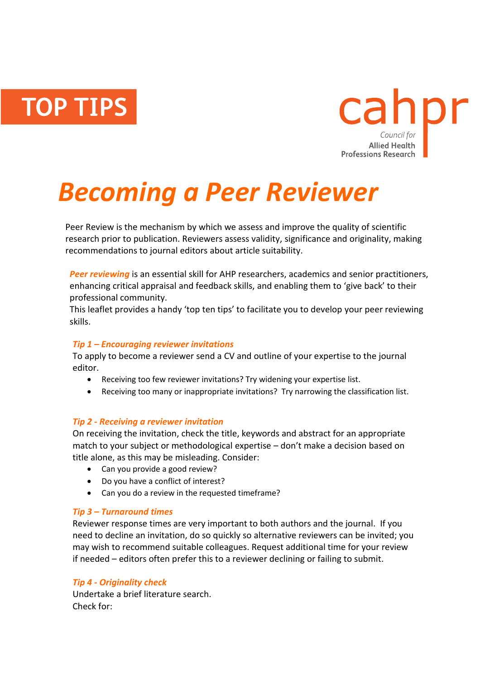**TOP TIPS** 



# *Becoming a Peer Reviewer*

Peer Review is the mechanism by which we assess and improve the quality of scientific research prior to publication. Reviewers assess validity, significance and originality, making recommendations to journal editors about article suitability.

**Peer reviewing** is an essential skill for AHP researchers, academics and senior practitioners, enhancing critical appraisal and feedback skills, and enabling them to 'give back' to their professional community.

This leaflet provides a handy 'top ten tips' to facilitate you to develop your peer reviewing skills.

# *Tip 1 – Encouraging reviewer invitations*

To apply to become a reviewer send a CV and outline of your expertise to the journal editor.

- Receiving too few reviewer invitations? Try widening your expertise list.
- Receiving too many or inappropriate invitations? Try narrowing the classification list.

#### *Tip 2 - Receiving a reviewer invitation*

On receiving the invitation, check the title, keywords and abstract for an appropriate match to your subject or methodological expertise – don't make a decision based on title alone, as this may be misleading. Consider:

- Can you provide a good review?
- Do you have a conflict of interest?
- Can you do a review in the requested timeframe?

# *Tip 3 – Turnaround times*

Reviewer response times are very important to both authors and the journal. If you need to decline an invitation, do so quickly so alternative reviewers can be invited; you may wish to recommend suitable colleagues. Request additional time for your review if needed – editors often prefer this to a reviewer declining or failing to submit.

# *Tip 4 - Originality check*

Undertake a brief literature search. Check for: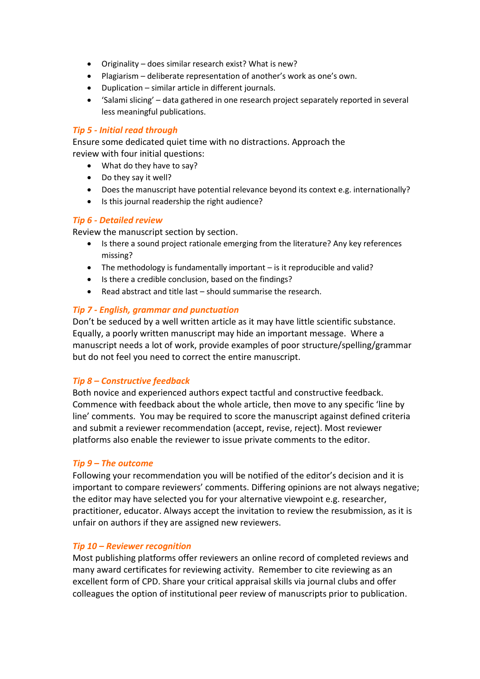- Originality does similar research exist? What is new?
- Plagiarism deliberate representation of another's work as one's own.
- Duplication similar article in different journals.
- 'Salami slicing' data gathered in one research project separately reported in several less meaningful publications.

#### *Tip 5 - Initial read through*

Ensure some dedicated quiet time with no distractions. Approach the review with four initial questions:

What do they have to say?

- Do they say it well?
- Does the manuscript have potential relevance beyond its context e.g. internationally?
- Is this journal readership the right audience?

#### *Tip 6 - Detailed review*

Review the manuscript section by section.

- Is there a sound project rationale emerging from the literature? Any key references missing?
- The methodology is fundamentally important is it reproducible and valid?
- Is there a credible conclusion, based on the findings?
- Read abstract and title last should summarise the research.

# *Tip 7 - English, grammar and punctuation*

Don't be seduced by a well written article as it may have little scientific substance. Equally, a poorly written manuscript may hide an important message. Where a manuscript needs a lot of work, provide examples of poor structure/spelling/grammar but do not feel you need to correct the entire manuscript.

# *Tip 8 – Constructive feedback*

Both novice and experienced authors expect tactful and constructive feedback. Commence with feedback about the whole article, then move to any specific 'line by line' comments. You may be required to score the manuscript against defined criteria and submit a reviewer recommendation (accept, revise, reject). Most reviewer platforms also enable the reviewer to issue private comments to the editor.

#### *Tip 9 – The outcome*

Following your recommendation you will be notified of the editor's decision and it is important to compare reviewers' comments. Differing opinions are not always negative; the editor may have selected you for your alternative viewpoint e.g. researcher, practitioner, educator. Always accept the invitation to review the resubmission, as it is unfair on authors if they are assigned new reviewers.

#### *Tip 10 – Reviewer recognition*

Most publishing platforms offer reviewers an online record of completed reviews and many award certificates for reviewing activity. Remember to cite reviewing as an excellent form of CPD. Share your critical appraisal skills via journal clubs and offer colleagues the option of institutional peer review of manuscripts prior to publication.